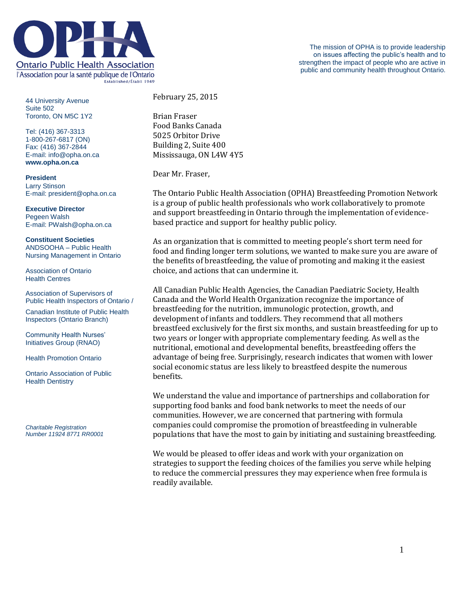

44 University Avenue Suite 502 Toronto, ON M5C 1Y2

Tel: (416) 367-3313 1-800-267-6817 (ON) Fax: (416) 367-2844 E-mail: info@opha.on.ca **www.opha.on.ca**

**President** Larry Stinson E-mail: president@opha.on.ca

**Executive Director** Pegeen Walsh E-mail: PWalsh@opha.on.ca

**Constituent Societies** ANDSOOHA – Public Health Nursing Management in Ontario

Association of Ontario Health Centres

Association of Supervisors of Public Health Inspectors of Ontario /

Canadian Institute of Public Health Inspectors (Ontario Branch)

Community Health Nurses' Initiatives Group (RNAO)

Health Promotion Ontario

Ontario Association of Public Health Dentistry

*Charitable Registration Number 11924 8771 RR0001* February 25, 2015

Brian Fraser Food Banks Canada 5025 Orbitor Drive Building 2, Suite 400 Mississauga, ON L4W 4Y5

Dear Mr. Fraser,

The Ontario Public Health Association (OPHA) Breastfeeding Promotion Network is a group of public health professionals who work collaboratively to promote and support breastfeeding in Ontario through the implementation of evidencebased practice and support for healthy public policy.

As an organization that is committed to meeting people's short term need for food and finding longer term solutions, we wanted to make sure you are aware of the benefits of breastfeeding, the value of promoting and making it the easiest choice, and actions that can undermine it.

All Canadian Public Health Agencies, the Canadian Paediatric Society, Health Canada and the World Health Organization recognize the importance of breastfeeding for the nutrition, immunologic protection, growth, and development of infants and toddlers. They recommend that all mothers breastfeed exclusively for the first six months, and sustain breastfeeding for up to two years or longer with appropriate complementary feeding. As well as the nutritional, emotional and developmental benefits, breastfeeding offers the advantage of being free. Surprisingly, research indicates that women with lower social economic status are less likely to breastfeed despite the numerous benefits.

We understand the value and importance of partnerships and collaboration for supporting food banks and food bank networks to meet the needs of our communities. However, we are concerned that partnering with formula companies could compromise the promotion of breastfeeding in vulnerable populations that have the most to gain by initiating and sustaining breastfeeding.

We would be pleased to offer ideas and work with your organization on strategies to support the feeding choices of the families you serve while helping to reduce the commercial pressures they may experience when free formula is readily available.